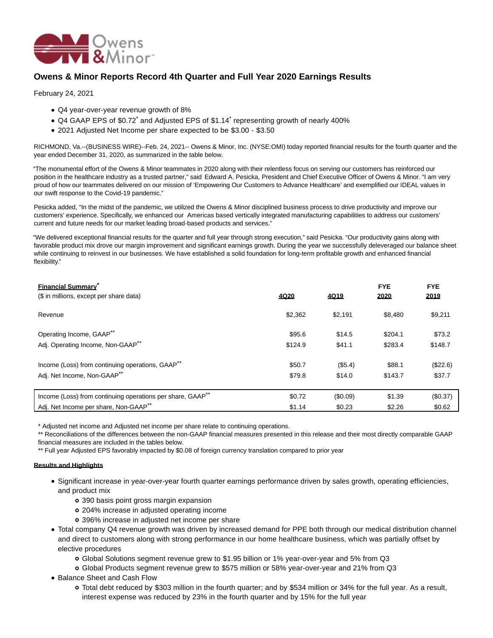

# **Owens & Minor Reports Record 4th Quarter and Full Year 2020 Earnings Results**

February 24, 2021

- Q4 year-over-year revenue growth of 8%
- Q4 GAAP EPS of \$0.72<sup>\*</sup> and Adjusted EPS of \$1.14<sup>\*</sup> representing growth of nearly 400%
- 2021 Adjusted Net Income per share expected to be \$3.00 \$3.50

RICHMOND, Va.--(BUSINESS WIRE)--Feb. 24, 2021-- Owens & Minor, Inc. (NYSE:OMI) today reported financial results for the fourth quarter and the year ended December 31, 2020, as summarized in the table below.

"The monumental effort of the Owens & Minor teammates in 2020 along with their relentless focus on serving our customers has reinforced our position in the healthcare industry as a trusted partner," said Edward A. Pesicka, President and Chief Executive Officer of Owens & Minor. "I am very proud of how our teammates delivered on our mission of 'Empowering Our Customers to Advance Healthcare' and exemplified our IDEAL values in our swift response to the Covid-19 pandemic."

Pesicka added, "In the midst of the pandemic, we utilized the Owens & Minor disciplined business process to drive productivity and improve our customers' experience. Specifically, we enhanced our Americas based vertically integrated manufacturing capabilities to address our customers' current and future needs for our market leading broad-based products and services."

"We delivered exceptional financial results for the quarter and full year through strong execution," said Pesicka. "Our productivity gains along with favorable product mix drove our margin improvement and significant earnings growth. During the year we successfully deleveraged our balance sheet while continuing to reinvest in our businesses. We have established a solid foundation for long-term profitable growth and enhanced financial flexibility."

| <b>Financial Summary</b><br>(\$ in millions, except per share data)    | 4020    | 4019     | <b>FYE</b><br>2020 | <b>FYE</b><br>2019 |
|------------------------------------------------------------------------|---------|----------|--------------------|--------------------|
| Revenue                                                                | \$2,362 | \$2.191  | \$8.480            | \$9,211            |
| Operating Income, GAAP <sup>**</sup>                                   | \$95.6  | \$14.5   | \$204.1            | \$73.2             |
| Adj. Operating Income, Non-GAAP**                                      | \$124.9 | \$41.1   | \$283.4            | \$148.7            |
| Income (Loss) from continuing operations, GAAP <sup>**</sup>           | \$50.7  | (S5.4)   | \$88.1             | (\$22.6)           |
| Adj. Net Income, Non-GAAP**                                            | \$79.8  | \$14.0   | \$143.7            | \$37.7             |
| Income (Loss) from continuing operations per share, GAAP <sup>**</sup> | \$0.72  | (\$0.09) | \$1.39             | (\$0.37)           |
| Adj. Net Income per share, Non-GAAP**                                  | \$1.14  | \$0.23   | \$2.26             | \$0.62             |

\* Adjusted net income and Adjusted net income per share relate to continuing operations.

\*\* Reconciliations of the differences between the non-GAAP financial measures presented in this release and their most directly comparable GAAP financial measures are included in the tables below.

\*\* Full year Adjusted EPS favorably impacted by \$0.08 of foreign currency translation compared to prior year

### **Results and Highlights**

- Significant increase in year-over-year fourth quarter earnings performance driven by sales growth, operating efficiencies, and product mix
	- 390 basis point gross margin expansion
	- 204% increase in adjusted operating income
	- 396% increase in adjusted net income per share
- Total company Q4 revenue growth was driven by increased demand for PPE both through our medical distribution channel and direct to customers along with strong performance in our home healthcare business, which was partially offset by elective procedures
	- Global Solutions segment revenue grew to \$1.95 billion or 1% year-over-year and 5% from Q3
	- Global Products segment revenue grew to \$575 million or 58% year-over-year and 21% from Q3
- Balance Sheet and Cash Flow
	- Total debt reduced by \$303 million in the fourth quarter; and by \$534 million or 34% for the full year. As a result, interest expense was reduced by 23% in the fourth quarter and by 15% for the full year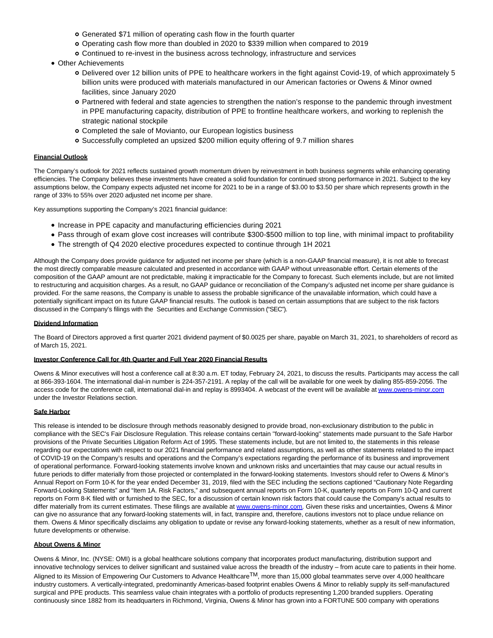- Generated \$71 million of operating cash flow in the fourth quarter
- Operating cash flow more than doubled in 2020 to \$339 million when compared to 2019
- Continued to re-invest in the business across technology, infrastructure and services
- Other Achievements
	- Delivered over 12 billion units of PPE to healthcare workers in the fight against Covid-19, of which approximately 5 billion units were produced with materials manufactured in our American factories or Owens & Minor owned facilities, since January 2020
	- Partnered with federal and state agencies to strengthen the nation's response to the pandemic through investment in PPE manufacturing capacity, distribution of PPE to frontline healthcare workers, and working to replenish the strategic national stockpile
	- Completed the sale of Movianto, our European logistics business
	- Successfully completed an upsized \$200 million equity offering of 9.7 million shares

### **Financial Outlook**

The Company's outlook for 2021 reflects sustained growth momentum driven by reinvestment in both business segments while enhancing operating efficiencies. The Company believes these investments have created a solid foundation for continued strong performance in 2021. Subject to the key assumptions below, the Company expects adjusted net income for 2021 to be in a range of \$3.00 to \$3.50 per share which represents growth in the range of 33% to 55% over 2020 adjusted net income per share.

Key assumptions supporting the Company's 2021 financial guidance:

- Increase in PPE capacity and manufacturing efficiencies during 2021
- Pass through of exam glove cost increases will contribute \$300-\$500 million to top line, with minimal impact to profitability
- The strength of Q4 2020 elective procedures expected to continue through 1H 2021

Although the Company does provide guidance for adjusted net income per share (which is a non-GAAP financial measure), it is not able to forecast the most directly comparable measure calculated and presented in accordance with GAAP without unreasonable effort. Certain elements of the composition of the GAAP amount are not predictable, making it impracticable for the Company to forecast. Such elements include, but are not limited to restructuring and acquisition charges. As a result, no GAAP guidance or reconciliation of the Company's adjusted net income per share guidance is provided. For the same reasons, the Company is unable to assess the probable significance of the unavailable information, which could have a potentially significant impact on its future GAAP financial results. The outlook is based on certain assumptions that are subject to the risk factors discussed in the Company's filings with the Securities and Exchange Commission ("SEC").

### **Dividend Information**

The Board of Directors approved a first quarter 2021 dividend payment of \$0.0025 per share, payable on March 31, 2021, to shareholders of record as of March 15, 2021.

#### **Investor Conference Call for 4th Quarter and Full Year 2020 Financial Results**

Owens & Minor executives will host a conference call at 8:30 a.m. ET today, February 24, 2021, to discuss the results. Participants may access the call at 866-393-1604. The international dial-in number is 224-357-2191. A replay of the call will be available for one week by dialing 855-859-2056. The access code for the conference call, international dial-in and replay is 8993404. A webcast of the event will be available a[t www.owens-minor.com](https://cts.businesswire.com/ct/CT?id=smartlink&url=http%3A%2F%2Fwww.owens-minor.com&esheet=52384259&newsitemid=20210224005242&lan=en-US&anchor=www.owens-minor.com&index=1&md5=c5ff68f6cc82189b32c0567a103ac046) under the Investor Relations section.

### **Safe Harbor**

This release is intended to be disclosure through methods reasonably designed to provide broad, non-exclusionary distribution to the public in compliance with the SEC's Fair Disclosure Regulation. This release contains certain ''forward-looking'' statements made pursuant to the Safe Harbor provisions of the Private Securities Litigation Reform Act of 1995. These statements include, but are not limited to, the statements in this release regarding our expectations with respect to our 2021 financial performance and related assumptions, as well as other statements related to the impact of COVID-19 on the Company's results and operations and the Company's expectations regarding the performance of its business and improvement of operational performance. Forward-looking statements involve known and unknown risks and uncertainties that may cause our actual results in future periods to differ materially from those projected or contemplated in the forward-looking statements. Investors should refer to Owens & Minor's Annual Report on Form 10-K for the year ended December 31, 2019, filed with the SEC including the sections captioned "Cautionary Note Regarding Forward-Looking Statements" and "Item 1A. Risk Factors," and subsequent annual reports on Form 10-K, quarterly reports on Form 10-Q and current reports on Form 8-K filed with or furnished to the SEC, for a discussion of certain known risk factors that could cause the Company's actual results to differ materially from its current estimates. These filings are available at [www.owens-minor.com.](https://cts.businesswire.com/ct/CT?id=smartlink&url=http%3A%2F%2Fwww.owens-minor.com&esheet=52384259&newsitemid=20210224005242&lan=en-US&anchor=www.owens-minor.com&index=2&md5=c4947b762af4b0ade310a417bdff3514) Given these risks and uncertainties, Owens & Minor can give no assurance that any forward-looking statements will, in fact, transpire and, therefore, cautions investors not to place undue reliance on them. Owens & Minor specifically disclaims any obligation to update or revise any forward-looking statements, whether as a result of new information, future developments or otherwise.

### **About Owens & Minor**

Owens & Minor, Inc. (NYSE: OMI) is a global healthcare solutions company that incorporates product manufacturing, distribution support and innovative technology services to deliver significant and sustained value across the breadth of the industry – from acute care to patients in their home. Aligned to its Mission of Empowering Our Customers to Advance Healthcare<sup>TM</sup>, more than 15,000 global teammates serve over 4,000 healthcare industry customers. A vertically-integrated, predominantly Americas-based footprint enables Owens & Minor to reliably supply its self-manufactured surgical and PPE products. This seamless value chain integrates with a portfolio of products representing 1,200 branded suppliers. Operating continuously since 1882 from its headquarters in Richmond, Virginia, Owens & Minor has grown into a FORTUNE 500 company with operations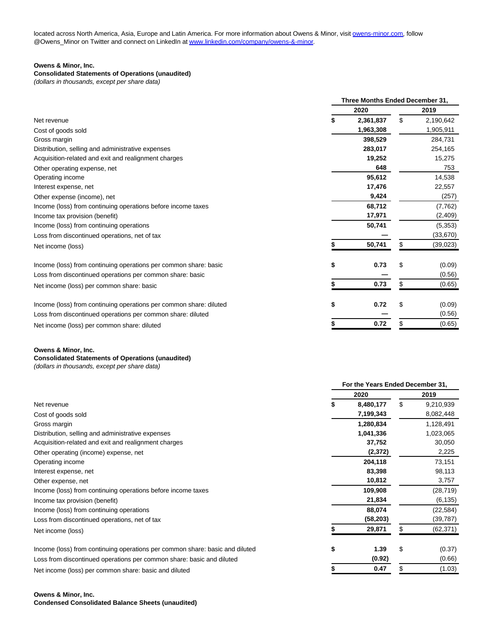located across North America, Asia, Europe and Latin America. For more information about Owens & Minor, visi[t owens-minor.com,](http://owens-minor.com/) follow @Owens\_Minor on Twitter and connect on LinkedIn a[t www.linkedin.com/company/owens-&-minor.](https://cts.businesswire.com/ct/CT?id=smartlink&url=http%3A%2F%2Fwww.linkedin.com%2Fcompany%2Fowens-%26-minor&esheet=52384259&newsitemid=20210224005242&lan=en-US&anchor=www.linkedin.com%2Fcompany%2Fowens-%26amp%3B-minor&index=3&md5=d55bb674ff833cccde076bd854f18f63)

### **Owens & Minor, Inc.**

### **Consolidated Statements of Operations (unaudited)**

(dollars in thousands, except per share data)

|                                                                    | Three Months Ended December 31, |    |           |  |  |  |  |
|--------------------------------------------------------------------|---------------------------------|----|-----------|--|--|--|--|
|                                                                    | 2020                            |    | 2019      |  |  |  |  |
| Net revenue                                                        | \$<br>2,361,837                 | \$ | 2,190,642 |  |  |  |  |
| Cost of goods sold                                                 | 1,963,308                       |    | 1,905,911 |  |  |  |  |
| Gross margin                                                       | 398,529                         |    | 284,731   |  |  |  |  |
| Distribution, selling and administrative expenses                  | 283,017                         |    | 254,165   |  |  |  |  |
| Acquisition-related and exit and realignment charges               | 19,252                          |    | 15,275    |  |  |  |  |
| Other operating expense, net                                       | 648                             |    | 753       |  |  |  |  |
| Operating income                                                   | 95,612                          |    | 14,538    |  |  |  |  |
| Interest expense, net                                              | 17,476                          |    | 22,557    |  |  |  |  |
| Other expense (income), net                                        | 9,424                           |    | (257)     |  |  |  |  |
| Income (loss) from continuing operations before income taxes       | 68,712                          |    | (7, 762)  |  |  |  |  |
| Income tax provision (benefit)                                     | 17,971                          |    | (2,409)   |  |  |  |  |
| Income (loss) from continuing operations                           | 50,741                          |    | (5,353)   |  |  |  |  |
| Loss from discontinued operations, net of tax                      |                                 |    | (33, 670) |  |  |  |  |
| Net income (loss)                                                  | 50,741                          | S  | (39, 023) |  |  |  |  |
| Income (loss) from continuing operations per common share: basic   | \$<br>0.73                      | \$ | (0.09)    |  |  |  |  |
| Loss from discontinued operations per common share: basic          |                                 |    | (0.56)    |  |  |  |  |
| Net income (loss) per common share: basic                          | 0.73                            | \$ | (0.65)    |  |  |  |  |
| Income (loss) from continuing operations per common share: diluted | \$<br>0.72                      | \$ | (0.09)    |  |  |  |  |
| Loss from discontinued operations per common share: diluted        |                                 |    | (0.56)    |  |  |  |  |
| Net income (loss) per common share: diluted                        | 0.72                            |    | (0.65)    |  |  |  |  |

**Owens & Minor, Inc.**

## **Consolidated Statements of Operations (unaudited)**

(dollars in thousands, except per share data)

|                                                                              | For the Years Ended December 31, |           |    |           |  |  |  |
|------------------------------------------------------------------------------|----------------------------------|-----------|----|-----------|--|--|--|
|                                                                              | 2020                             |           |    | 2019      |  |  |  |
| Net revenue                                                                  |                                  | 8,480,177 | \$ | 9,210,939 |  |  |  |
| Cost of goods sold                                                           |                                  | 7,199,343 |    | 8,082,448 |  |  |  |
| Gross margin                                                                 |                                  | 1,280,834 |    | 1,128,491 |  |  |  |
| Distribution, selling and administrative expenses                            |                                  | 1,041,336 |    | 1,023,065 |  |  |  |
| Acquisition-related and exit and realignment charges                         |                                  | 37,752    |    | 30,050    |  |  |  |
| Other operating (income) expense, net                                        |                                  | (2,372)   |    | 2,225     |  |  |  |
| Operating income                                                             |                                  | 204,118   |    | 73,151    |  |  |  |
| Interest expense, net                                                        |                                  | 83,398    |    | 98,113    |  |  |  |
| Other expense, net                                                           |                                  | 10,812    |    | 3,757     |  |  |  |
| Income (loss) from continuing operations before income taxes                 |                                  | 109,908   |    | (28, 719) |  |  |  |
| Income tax provision (benefit)                                               |                                  | 21,834    |    | (6, 135)  |  |  |  |
| Income (loss) from continuing operations                                     |                                  | 88,074    |    | (22, 584) |  |  |  |
| Loss from discontinued operations, net of tax                                |                                  | (58, 203) |    | (39, 787) |  |  |  |
| Net income (loss)                                                            |                                  | 29,871    |    | (62, 371) |  |  |  |
| Income (loss) from continuing operations per common share: basic and diluted | \$                               | 1.39      | \$ | (0.37)    |  |  |  |
| Loss from discontinued operations per common share: basic and diluted        |                                  | (0.92)    |    | (0.66)    |  |  |  |
| Net income (loss) per common share: basic and diluted                        |                                  | 0.47      | S  | (1.03)    |  |  |  |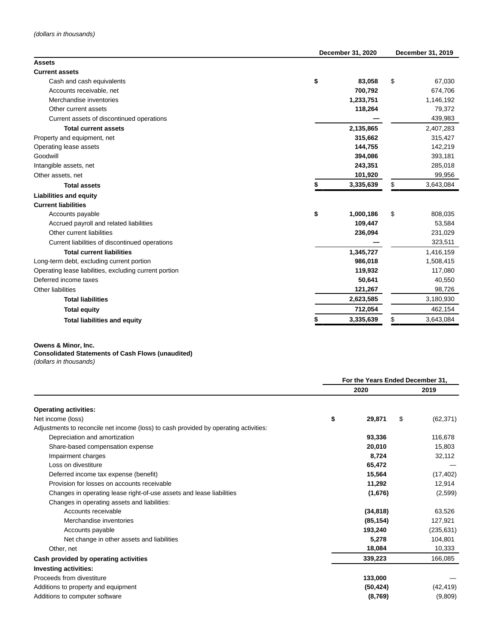|                                                        | December 31, 2020 |           |    | December 31, 2019 |  |  |
|--------------------------------------------------------|-------------------|-----------|----|-------------------|--|--|
| <b>Assets</b>                                          |                   |           |    |                   |  |  |
| <b>Current assets</b>                                  |                   |           |    |                   |  |  |
| Cash and cash equivalents                              | \$                | 83,058    | \$ | 67,030            |  |  |
| Accounts receivable, net                               |                   | 700,792   |    | 674,706           |  |  |
| Merchandise inventories                                |                   | 1,233,751 |    | 1,146,192         |  |  |
| Other current assets                                   |                   | 118,264   |    | 79,372            |  |  |
| Current assets of discontinued operations              |                   |           |    | 439,983           |  |  |
| <b>Total current assets</b>                            |                   | 2,135,865 |    | 2,407,283         |  |  |
| Property and equipment, net                            |                   | 315,662   |    | 315,427           |  |  |
| Operating lease assets                                 |                   | 144,755   |    | 142,219           |  |  |
| Goodwill                                               |                   | 394,086   |    | 393,181           |  |  |
| Intangible assets, net                                 |                   | 243,351   |    | 285,018           |  |  |
| Other assets, net                                      |                   | 101,920   |    | 99,956            |  |  |
| <b>Total assets</b>                                    |                   | 3,335,639 | \$ | 3,643,084         |  |  |
| <b>Liabilities and equity</b>                          |                   |           |    |                   |  |  |
| <b>Current liabilities</b>                             |                   |           |    |                   |  |  |
| Accounts payable                                       | \$                | 1,000,186 | \$ | 808,035           |  |  |
| Accrued payroll and related liabilities                |                   | 109,447   |    | 53,584            |  |  |
| Other current liabilities                              |                   | 236,094   |    | 231,029           |  |  |
| Current liabilities of discontinued operations         |                   |           |    | 323,511           |  |  |
| <b>Total current liabilities</b>                       |                   | 1,345,727 |    | 1,416,159         |  |  |
| Long-term debt, excluding current portion              |                   | 986,018   |    | 1,508,415         |  |  |
| Operating lease liabilities, excluding current portion |                   | 119,932   |    | 117,080           |  |  |
| Deferred income taxes                                  |                   | 50,641    |    | 40,550            |  |  |
| Other liabilities                                      |                   | 121,267   |    | 98,726            |  |  |
| <b>Total liabilities</b>                               |                   | 2,623,585 |    | 3,180,930         |  |  |
| <b>Total equity</b>                                    |                   | 712,054   |    | 462,154           |  |  |
| <b>Total liabilities and equity</b>                    |                   | 3,335,639 | \$ | 3,643,084         |  |  |

## **Owens & Minor, Inc.**

# **Consolidated Statements of Cash Flows (unaudited)**

(dollars in thousands)

|                                                                                      |    | For the Years Ended December 31. |      |            |  |
|--------------------------------------------------------------------------------------|----|----------------------------------|------|------------|--|
|                                                                                      |    | 2020                             | 2019 |            |  |
| <b>Operating activities:</b>                                                         |    |                                  |      |            |  |
| Net income (loss)                                                                    | \$ | 29,871                           | \$   | (62, 371)  |  |
| Adjustments to reconcile net income (loss) to cash provided by operating activities: |    |                                  |      |            |  |
| Depreciation and amortization                                                        |    | 93,336                           |      | 116,678    |  |
| Share-based compensation expense                                                     |    | 20,010                           |      | 15,803     |  |
| Impairment charges                                                                   |    | 8,724                            |      | 32,112     |  |
| Loss on divestiture                                                                  |    | 65,472                           |      |            |  |
| Deferred income tax expense (benefit)                                                |    | 15,564                           |      | (17, 402)  |  |
| Provision for losses on accounts receivable                                          |    | 11,292                           |      | 12,914     |  |
| Changes in operating lease right-of-use assets and lease liabilities                 |    | (1,676)                          |      | (2,599)    |  |
| Changes in operating assets and liabilities:                                         |    |                                  |      |            |  |
| Accounts receivable                                                                  |    | (34, 818)                        |      | 63,526     |  |
| Merchandise inventories                                                              |    | (85, 154)                        |      | 127,921    |  |
| Accounts payable                                                                     |    | 193,240                          |      | (235, 631) |  |
| Net change in other assets and liabilities                                           |    | 5,278                            |      | 104,801    |  |
| Other, net                                                                           |    | 18,084                           |      | 10,333     |  |
| Cash provided by operating activities                                                |    | 339,223                          |      | 166,085    |  |
| <b>Investing activities:</b>                                                         |    |                                  |      |            |  |
| Proceeds from divestiture                                                            |    | 133,000                          |      |            |  |
| Additions to property and equipment                                                  |    | (50, 424)                        |      | (42, 419)  |  |
| Additions to computer software                                                       |    | (8,769)                          |      | (9,809)    |  |
|                                                                                      |    |                                  |      |            |  |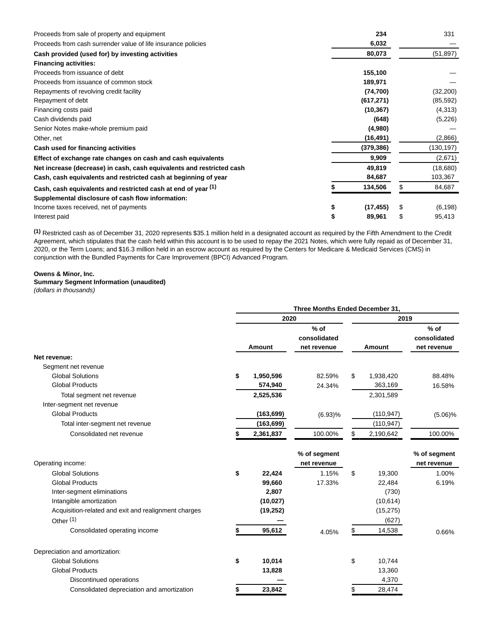| Proceeds from sale of property and equipment                          | 234        |    | 331       |
|-----------------------------------------------------------------------|------------|----|-----------|
| Proceeds from cash surrender value of life insurance policies         | 6,032      |    |           |
| Cash provided (used for) by investing activities                      | 80,073     |    | (51, 897) |
| <b>Financing activities:</b>                                          |            |    |           |
| Proceeds from issuance of debt                                        | 155,100    |    |           |
| Proceeds from issuance of common stock                                | 189,971    |    |           |
| Repayments of revolving credit facility                               | (74, 700)  |    | (32, 200) |
| Repayment of debt                                                     | (617, 271) |    | (85, 592) |
| Financing costs paid                                                  | (10, 367)  |    | (4,313)   |
| Cash dividends paid                                                   | (648)      |    | (5,226)   |
| Senior Notes make-whole premium paid                                  | (4,980)    |    |           |
| Other, net                                                            | (16, 491)  |    | (2,866)   |
| Cash used for financing activities                                    | (379, 386) |    | (130,197) |
| Effect of exchange rate changes on cash and cash equivalents          | 9,909      |    | (2,671)   |
| Net increase (decrease) in cash, cash equivalents and restricted cash | 49,819     |    | (18,680)  |
| Cash, cash equivalents and restricted cash at beginning of year       | 84,687     |    | 103,367   |
| Cash, cash equivalents and restricted cash at end of year (1)         | 134,506    |    | 84,687    |
| Supplemental disclosure of cash flow information:                     |            |    |           |
| Income taxes received, net of payments                                | (17, 455)  | S  | (6, 198)  |
| Interest paid                                                         | 89,961     | \$ | 95,413    |

**(1)** Restricted cash as of December 31, 2020 represents \$35.1 million held in a designated account as required by the Fifth Amendment to the Credit Agreement, which stipulates that the cash held within this account is to be used to repay the 2021 Notes, which were fully repaid as of December 31, 2020, or the Term Loans; and \$16.3 million held in an escrow account as required by the Centers for Medicare & Medicaid Services (CMS) in conjunction with the Bundled Payments for Care Improvement (BPCI) Advanced Program.

### **Owens & Minor, Inc.**

## **Summary Segment Information (unaudited)**

(dollars in thousands)

|                                                      | Three Months Ended December 31, |            |                                       |    |            |                                       |  |
|------------------------------------------------------|---------------------------------|------------|---------------------------------------|----|------------|---------------------------------------|--|
|                                                      |                                 | 2020       |                                       |    | 2019       |                                       |  |
|                                                      |                                 | Amount     | $%$ of<br>consolidated<br>net revenue |    | Amount     | $%$ of<br>consolidated<br>net revenue |  |
| Net revenue:                                         |                                 |            |                                       |    |            |                                       |  |
| Segment net revenue                                  |                                 |            |                                       |    |            |                                       |  |
| <b>Global Solutions</b>                              | \$                              | 1,950,596  | 82.59%                                | \$ | 1,938,420  | 88.48%                                |  |
| <b>Global Products</b>                               |                                 | 574,940    | 24.34%                                |    | 363,169    | 16.58%                                |  |
| Total segment net revenue                            |                                 | 2,525,536  |                                       |    | 2,301,589  |                                       |  |
| Inter-segment net revenue                            |                                 |            |                                       |    |            |                                       |  |
| <b>Global Products</b>                               |                                 | (163, 699) | (6.93)%                               |    | (110, 947) | $(5.06)\%$                            |  |
| Total inter-segment net revenue                      |                                 | (163, 699) |                                       |    | (110, 947) |                                       |  |
| Consolidated net revenue                             |                                 | 2,361,837  | 100.00%                               | \$ | 2,190,642  | 100.00%                               |  |
| Operating income:                                    |                                 |            | % of segment<br>net revenue           |    |            | % of segment<br>net revenue           |  |
| <b>Global Solutions</b>                              | \$                              | 22,424     | 1.15%                                 | \$ | 19,300     | 1.00%                                 |  |
| <b>Global Products</b>                               |                                 | 99,660     | 17.33%                                |    | 22,484     | 6.19%                                 |  |
| Inter-segment eliminations                           |                                 | 2,807      |                                       |    | (730)      |                                       |  |
| Intangible amortization                              |                                 | (10, 027)  |                                       |    | (10, 614)  |                                       |  |
| Acquisition-related and exit and realignment charges |                                 | (19, 252)  |                                       |    | (15, 275)  |                                       |  |
| Other <sup>(1)</sup>                                 |                                 |            |                                       |    | (627)      |                                       |  |
| Consolidated operating income                        |                                 | 95,612     | 4.05%                                 | \$ | 14,538     | 0.66%                                 |  |
| Depreciation and amortization:                       |                                 |            |                                       |    |            |                                       |  |
| <b>Global Solutions</b>                              | \$                              | 10,014     |                                       | \$ | 10,744     |                                       |  |
| <b>Global Products</b>                               |                                 | 13,828     |                                       |    | 13,360     |                                       |  |
| Discontinued operations                              |                                 |            |                                       |    | 4,370      |                                       |  |
| Consolidated depreciation and amortization           |                                 | 23,842     |                                       | \$ | 28,474     |                                       |  |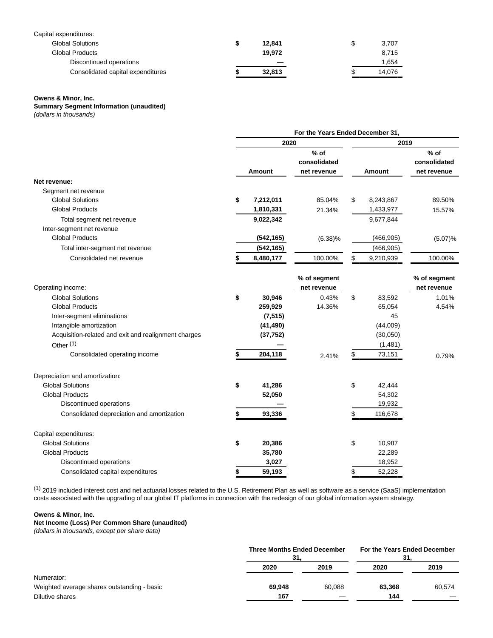| Capital expenditures:             |        |    |        |
|-----------------------------------|--------|----|--------|
| <b>Global Solutions</b>           | 12.841 | S  | 3,707  |
| <b>Global Products</b>            | 19.972 |    | 8.715  |
| Discontinued operations           |        |    | 1,654  |
| Consolidated capital expenditures | 32,813 | ۰D | 14.076 |

#### **Owens & Minor, Inc.**

**Summary Segment Information (unaudited)**

(dollars in thousands)

| For the Years Ended December 31, |            |                                       |      |            |                                       |  |  |
|----------------------------------|------------|---------------------------------------|------|------------|---------------------------------------|--|--|
|                                  |            |                                       |      | 2019       |                                       |  |  |
|                                  |            | $%$ of<br>consolidated<br>net revenue |      | Amount     | $%$ of<br>consolidated<br>net revenue |  |  |
|                                  |            |                                       |      |            |                                       |  |  |
|                                  |            |                                       |      |            |                                       |  |  |
| \$                               | 7,212,011  | 85.04%                                | \$   | 8,243,867  | 89.50%                                |  |  |
|                                  | 1,810,331  | 21.34%                                |      | 1,433,977  | 15.57%                                |  |  |
|                                  | 9,022,342  |                                       |      | 9,677,844  |                                       |  |  |
|                                  |            |                                       |      |            |                                       |  |  |
|                                  | (542, 165) | $(6.38)\%$                            |      | (466, 905) | (5.07)%                               |  |  |
|                                  | (542, 165) |                                       |      | (466, 905) |                                       |  |  |
|                                  | 8,480,177  | 100.00%                               | \$   | 9,210,939  | 100.00%                               |  |  |
|                                  |            | % of segment<br>net revenue           |      |            | % of segment<br>net revenue           |  |  |
| \$                               | 30,946     | 0.43%                                 | \$   | 83,592     | 1.01%                                 |  |  |
|                                  | 259,929    | 14.36%                                |      | 65,054     | 4.54%                                 |  |  |
|                                  | (7, 515)   |                                       |      | 45         |                                       |  |  |
|                                  | (41, 490)  |                                       |      | (44,009)   |                                       |  |  |
|                                  | (37, 752)  |                                       |      | (30,050)   |                                       |  |  |
|                                  |            |                                       |      | (1,481)    |                                       |  |  |
| \$                               | 204,118    | 2.41%                                 | \$   | 73,151     | 0.79%                                 |  |  |
|                                  |            |                                       |      |            |                                       |  |  |
| \$                               | 41,286     |                                       | \$   | 42,444     |                                       |  |  |
|                                  | 52,050     |                                       |      | 54,302     |                                       |  |  |
|                                  |            |                                       |      | 19,932     |                                       |  |  |
| \$                               | 93,336     |                                       | \$   | 116,678    |                                       |  |  |
|                                  |            |                                       |      |            |                                       |  |  |
| \$                               | 20,386     |                                       | \$   | 10,987     |                                       |  |  |
|                                  | 35,780     |                                       |      | 22,289     |                                       |  |  |
|                                  | 3,027      |                                       |      | 18,952     |                                       |  |  |
| \$                               | 59,193     |                                       | \$   | 52,228     |                                       |  |  |
|                                  |            | Amount                                | 2020 |            |                                       |  |  |

(1) 2019 included interest cost and net actuarial losses related to the U.S. Retirement Plan as well as software as a service (SaaS) implementation costs associated with the upgrading of our global IT platforms in connection with the redesign of our global information system strategy.

### **Owens & Minor, Inc.**

**Net Income (Loss) Per Common Share (unaudited)**

(dollars in thousands, except per share data)

|                                             | <b>Three Months Ended December</b><br>31. |        | For the Years Ended December<br>31. |        |  |
|---------------------------------------------|-------------------------------------------|--------|-------------------------------------|--------|--|
|                                             | 2020                                      | 2019   | 2020                                | 2019   |  |
| Numerator:                                  |                                           |        |                                     |        |  |
| Weighted average shares outstanding - basic | 69.948                                    | 60.088 | 63,368                              | 60,574 |  |
| Dilutive shares                             | 167                                       |        | 144                                 |        |  |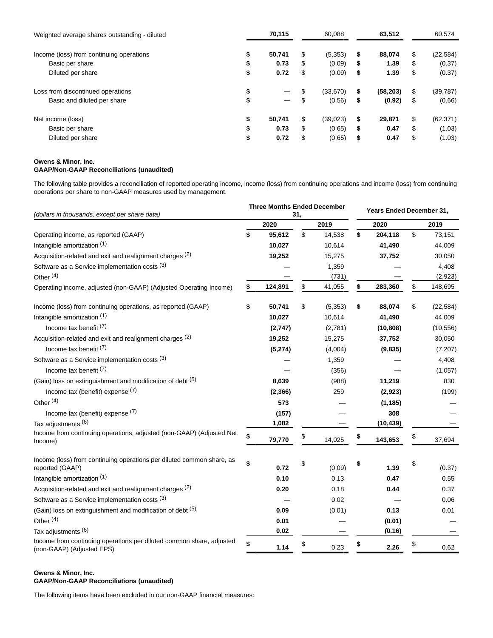| 70,115                         | 60.088          |    | 63,512    |    | 60,574    |
|--------------------------------|-----------------|----|-----------|----|-----------|
| \$<br>50,741                   | \$<br>(5,353)   | S  | 88,074    | S  | (22, 584) |
| \$<br>0.73                     | \$<br>(0.09)    | \$ | 1.39      | \$ | (0.37)    |
| \$<br>0.72                     | \$<br>(0.09)    | \$ | 1.39      | \$ | (0.37)    |
| \$                             | (33,670)        | \$ | (58, 203) | \$ | (39, 787) |
| \$<br>$\overline{\phantom{m}}$ | (0.56)          | \$ | (0.92)    | \$ | (0.66)    |
| \$<br>50,741                   | \$<br>(39, 023) | \$ | 29,871    | \$ | (62, 371) |
| \$<br>0.73                     | \$<br>(0.65)    | \$ | 0.47      | \$ | (1.03)    |
| \$<br>0.72                     | \$<br>(0.65)    | \$ | 0.47      | S  | (1.03)    |
|                                |                 |    |           |    |           |

### **Owens & Minor, Inc. GAAP/Non-GAAP Reconciliations (unaudited)**

The following table provides a reconciliation of reported operating income, income (loss) from continuing operations and income (loss) from continuing operations per share to non-GAAP measures used by management.

|                                                                                                   | <b>Three Months Ended December</b> |             |    |         | <b>Years Ended December 31,</b> |           |    |           |
|---------------------------------------------------------------------------------------------------|------------------------------------|-------------|----|---------|---------------------------------|-----------|----|-----------|
| (dollars in thousands, except per share data)                                                     |                                    | 31,<br>2020 |    | 2019    |                                 | 2020      |    | 2019      |
| Operating income, as reported (GAAP)                                                              | \$                                 | 95,612      | \$ | 14,538  | \$                              | 204,118   | \$ | 73,151    |
| Intangible amortization (1)                                                                       |                                    | 10,027      |    | 10,614  |                                 | 41,490    |    | 44,009    |
| Acquisition-related and exit and realignment charges (2)                                          |                                    | 19,252      |    | 15,275  |                                 | 37,752    |    | 30,050    |
| Software as a Service implementation costs (3)                                                    |                                    |             |    | 1,359   |                                 |           |    | 4,408     |
| Other $(4)$                                                                                       |                                    |             |    | (731)   |                                 |           |    | (2,923)   |
| Operating income, adjusted (non-GAAP) (Adjusted Operating Income)                                 | \$                                 | 124,891     | \$ | 41,055  | \$                              | 283,360   | \$ | 148,695   |
| Income (loss) from continuing operations, as reported (GAAP)                                      | \$                                 | 50,741      | \$ | (5,353) | \$                              | 88,074    | \$ | (22, 584) |
| Intangible amortization (1)                                                                       |                                    | 10,027      |    | 10,614  |                                 | 41,490    |    | 44,009    |
| Income tax benefit $(7)$                                                                          |                                    | (2,747)     |    | (2,781) |                                 | (10, 808) |    | (10, 556) |
| Acquisition-related and exit and realignment charges (2)                                          |                                    | 19,252      |    | 15,275  |                                 | 37,752    |    | 30,050    |
| Income tax benefit (7)                                                                            |                                    | (5, 274)    |    | (4,004) |                                 | (9,835)   |    | (7,207)   |
| Software as a Service implementation costs (3)                                                    |                                    |             |    | 1,359   |                                 |           |    | 4,408     |
| Income tax benefit $(7)$                                                                          |                                    |             |    | (356)   |                                 |           |    | (1,057)   |
| (Gain) loss on extinguishment and modification of debt (5)                                        |                                    | 8,639       |    | (988)   |                                 | 11,219    |    | 830       |
| Income tax (benefit) expense (7)                                                                  |                                    | (2, 366)    |    | 259     |                                 | (2,923)   |    | (199)     |
| Other <sup>(4)</sup>                                                                              |                                    | 573         |    |         |                                 | (1, 185)  |    |           |
| Income tax (benefit) expense (7)                                                                  |                                    | (157)       |    |         |                                 | 308       |    |           |
| Tax adjustments (6)                                                                               |                                    | 1,082       |    |         |                                 | (10, 439) |    |           |
| Income from continuing operations, adjusted (non-GAAP) (Adjusted Net<br>Income)                   | \$                                 | 79,770      | \$ | 14,025  | \$                              | 143,653   | \$ | 37,694    |
| Income (loss) from continuing operations per diluted common share, as<br>reported (GAAP)          | \$                                 | 0.72        | \$ | (0.09)  | \$                              | 1.39      | \$ | (0.37)    |
| Intangible amortization (1)                                                                       |                                    | 0.10        |    | 0.13    |                                 | 0.47      |    | 0.55      |
| Acquisition-related and exit and realignment charges (2)                                          |                                    | 0.20        |    | 0.18    |                                 | 0.44      |    | 0.37      |
| Software as a Service implementation costs (3)                                                    |                                    |             |    | 0.02    |                                 |           |    | 0.06      |
| (Gain) loss on extinguishment and modification of debt (5)                                        |                                    | 0.09        |    | (0.01)  |                                 | 0.13      |    | 0.01      |
| Other <sup>(4)</sup>                                                                              |                                    | 0.01        |    |         |                                 | (0.01)    |    |           |
| Tax adjustments (6)                                                                               |                                    | 0.02        |    |         |                                 | (0.16)    |    |           |
| Income from continuing operations per diluted common share, adjusted<br>(non-GAAP) (Adjusted EPS) | \$                                 | 1.14        | \$ | 0.23    | \$                              | 2.26      | \$ | 0.62      |

### **Owens & Minor, Inc. GAAP/Non-GAAP Reconciliations (unaudited)**

The following items have been excluded in our non-GAAP financial measures: